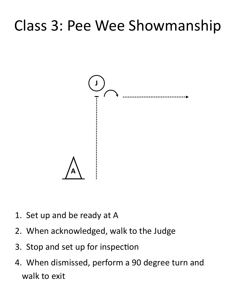## Class 3: Pee Wee Showmanship



- 1. Set up and be ready at A
- 2. When acknowledged, walk to the Judge
- 3. Stop and set up for inspection
- 4. When dismissed, perform a 90 degree turn and walk to exit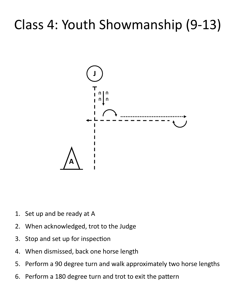### Class 4: Youth Showmanship (9-13)



- 1. Set up and be ready at A
- 2. When acknowledged, trot to the Judge
- 3. Stop and set up for inspection
- 4. When dismissed, back one horse length
- 5. Perform a 90 degree turn and walk approximately two horse lengths
- 6. Perform a 180 degree turn and trot to exit the pattern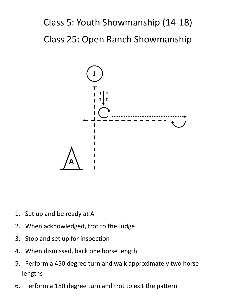### Class 5: Youth Showmanship (14-18) Class 25: Open Ranch Showmanship



- 1. Set up and be ready at A
- 2. When acknowledged, trot to the Judge
- 3. Stop and set up for inspection
- 4. When dismissed, back one horse length
- 5. Perform a 450 degree turn and walk approximately two horse lengths
- 6. Perform a 180 degree turn and trot to exit the pattern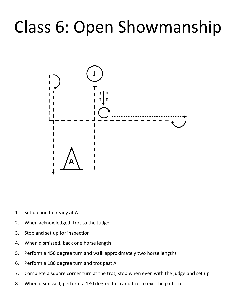## Class 6: Open Showmanship



- 1. Set up and be ready at A
- 2. When acknowledged, trot to the Judge
- 3. Stop and set up for inspection
- 4. When dismissed, back one horse length
- 5. Perform a 450 degree turn and walk approximately two horse lengths
- 6. Perform a 180 degree turn and trot past A
- 7. Complete a square corner turn at the trot, stop when even with the judge and set up
- 8. When dismissed, perform a 180 degree turn and trot to exit the pattern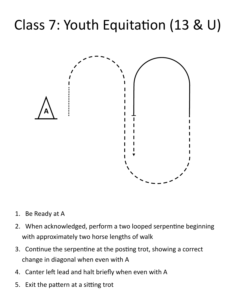## Class 7: Youth Equitation (13 & U)



- 1. Be Ready at A
- 2. When acknowledged, perform a two looped serpentine beginning with approximately two horse lengths of walk
- 3. Continue the serpentine at the posting trot, showing a correct change in diagonal when even with A
- 4. Canter left lead and halt briefly when even with A
- 5. Exit the pattern at a sitting trot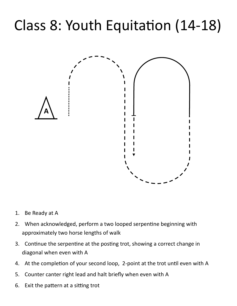## Class 8: Youth Equitation (14-18)



- 1. Be Ready at A
- 2. When acknowledged, perform a two looped serpentine beginning with approximately two horse lengths of walk
- 3. Continue the serpentine at the posting trot, showing a correct change in diagonal when even with A
- 4. At the completion of your second loop, 2-point at the trot until even with A
- 5. Counter canter right lead and halt briefly when even with A
- 6. Exit the pattern at a sitting trot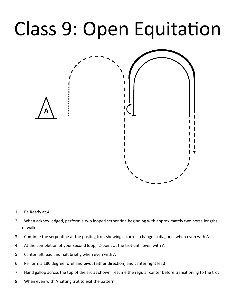# Class 9: Open Equitation



- 1. Be Ready at A
- 2. When acknowledged, perform a two looped serpentine beginning with approximately two horse lengths of walk
- 3. Continue the serpentine at the posting trot, showing a correct change in diagonal when even with A
- 4. At the completion of your second loop, 2-point at the trot until even with A
- 5. Canter left lead and halt briefly when even with A
- 6. Perform a 180 degree forehand pivot (either direction) and canter right lead
- 7. Hand gallop across the top of the arc as shown, resume the regular canter before transitioning to the trot
- 8. When even with A sitting trot to exit the pattern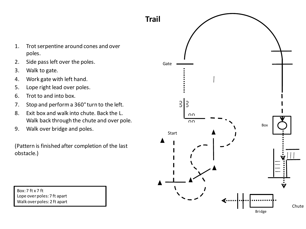

- 1. Trot serpentine around cones and over poles.
- 2. Side pass left over the poles.
- 3. Walk to gate.
- 4. Work gate with left hand.
- 5. Lope right lead over poles.
- 6. Trot to and into box.
- 7. Stop and perform a 360°turn to the left.
- 8. Exit box and walk into chute. Back the L. Walk back through the chute and over pole.
- 9. Walk over bridge and poles.

(Pattern is finished after completion of the last obstacle.)

Box: 7 ft x 7 ft Lope over poles: 7 ft apart Walk over poles: 2 ft apart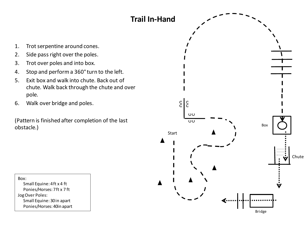

Box: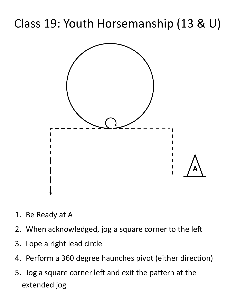### Class 19: Youth Horsemanship (13 & U)



- 1. Be Ready at A
- 2. When acknowledged, jog a square corner to the left
- 3. Lope a right lead circle
- 4. Perform a 360 degree haunches pivot (either direction)
- 5. Jog a square corner left and exit the pattern at the extended jog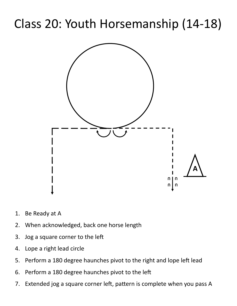### Class 20: Youth Horsemanship (14-18)



- 1. Be Ready at A
- 2. When acknowledged, back one horse length
- 3. Jog a square corner to the left
- 4. Lope a right lead circle
- 5. Perform a 180 degree haunches pivot to the right and lope left lead
- 6. Perform a 180 degree haunches pivot to the left
- 7. Extended jog a square corner left, pattern is complete when you pass A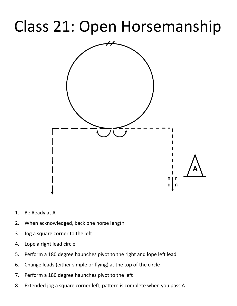## Class 21: Open Horsemanship



- 1. Be Ready at A
- 2. When acknowledged, back one horse length
- 3. Jog a square corner to the left
- 4. Lope a right lead circle
- 5. Perform a 180 degree haunches pivot to the right and lope left lead
- 6. Change leads (either simple or flying) at the top of the circle
- 7. Perform a 180 degree haunches pivot to the left
- 8. Extended jog a square corner left, pattern is complete when you pass A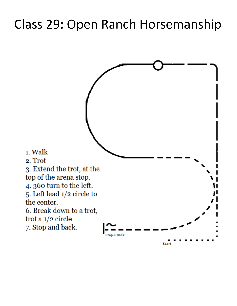#### Class 29: Open Ranch Horsemanship